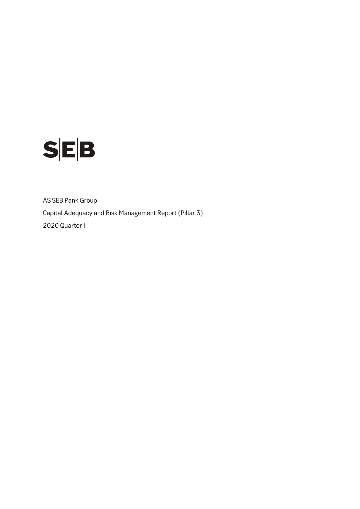

AS SEB Pank Group Capital Adequacy and Risk Management Report (Pillar 3) 2020 Quarter I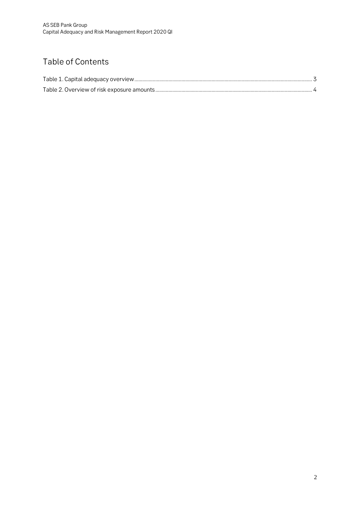## Table of Contents

<span id="page-1-0"></span>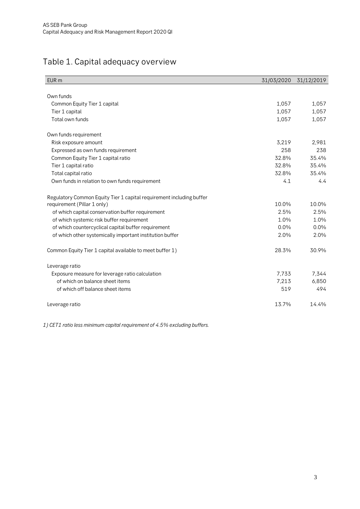## Table 1. Capital adequacy overview

| EUR <sub>m</sub>                                                     | 31/03/2020 | 31/12/2019 |
|----------------------------------------------------------------------|------------|------------|
|                                                                      |            |            |
| Own funds                                                            |            |            |
| Common Equity Tier 1 capital                                         | 1,057      | 1,057      |
| Tier 1 capital                                                       | 1,057      | 1,057      |
| Total own funds                                                      | 1,057      | 1,057      |
| Own funds requirement                                                |            |            |
| Risk exposure amount                                                 | 3,219      | 2,981      |
| Expressed as own funds requirement                                   | 258        | 238        |
| Common Equity Tier 1 capital ratio                                   | 32.8%      | 35.4%      |
| Tier 1 capital ratio                                                 | 32.8%      | 35.4%      |
| Total capital ratio                                                  | 32.8%      | 35.4%      |
| Own funds in relation to own funds requirement                       | 4.1        | 4.4        |
| Regulatory Common Equity Tier 1 capital requirement including buffer |            |            |
| requirement (Pillar 1 only)                                          | 10.0%      | 10.0%      |
| of which capital conservation buffer requirement                     | 2.5%       | 2.5%       |
| of which systemic risk buffer requirement                            | 1.0%       | 1.0%       |
| of which countercyclical capital buffer requirement                  | $0.0\%$    | 0.0%       |
| of which other systemically important institution buffer             | 2.0%       | 2.0%       |
| Common Equity Tier 1 capital available to meet buffer 1)             | 28.3%      | 30.9%      |
| Leverage ratio                                                       |            |            |
| Exposure measure for leverage ratio calculation                      | 7,733      | 7,344      |
| of which on balance sheet items                                      | 7,213      | 6,850      |
| of which off balance sheet items                                     | 519        | 494        |
| Leverage ratio                                                       | 13.7%      | 14.4%      |

*1) CET1 ratio less minimum capital requirement of 4.5% excluding buffers.*